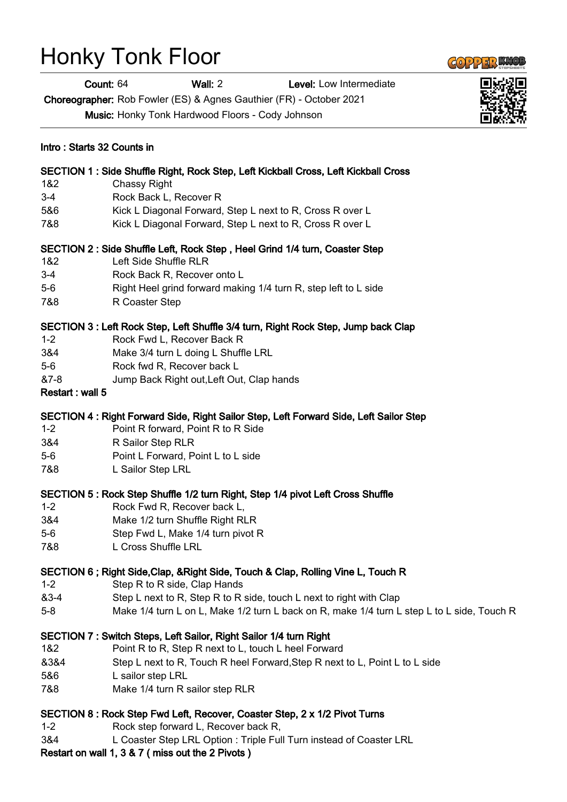## Honky Tonk Floor

Count: 64 Wall: 2 Level: Low Intermediate

Choreographer: Rob Fowler (ES) & Agnes Gauthier (FR) - October 2021

|                 | Music: Honky Tonk Hardwood Floors - Cody Johnson                                           |  |
|-----------------|--------------------------------------------------------------------------------------------|--|
|                 | Intro: Starts 32 Counts in                                                                 |  |
|                 | SECTION 1 : Side Shuffle Right, Rock Step, Left Kickball Cross, Left Kickball Cross        |  |
| 1&2             | <b>Chassy Right</b>                                                                        |  |
| $3 - 4$         | Rock Back L, Recover R                                                                     |  |
| 5&6             | Kick L Diagonal Forward, Step L next to R, Cross R over L                                  |  |
| 7&8             | Kick L Diagonal Forward, Step L next to R, Cross R over L                                  |  |
|                 | SECTION 2: Side Shuffle Left, Rock Step, Heel Grind 1/4 turn, Coaster Step                 |  |
| 1&2             | Left Side Shuffle RLR                                                                      |  |
| $3-4$           | Rock Back R, Recover onto L                                                                |  |
| $5-6$           | Right Heel grind forward making 1/4 turn R, step left to L side                            |  |
| 7&8             | R Coaster Step                                                                             |  |
|                 | SECTION 3 : Left Rock Step, Left Shuffle 3/4 turn, Right Rock Step, Jump back Clap         |  |
| $1 - 2$         | Rock Fwd L, Recover Back R                                                                 |  |
| 3&4             | Make 3/4 turn L doing L Shuffle LRL                                                        |  |
| $5-6$           | Rock fwd R, Recover back L                                                                 |  |
| &7-8            | Jump Back Right out, Left Out, Clap hands                                                  |  |
| Restart: wall 5 |                                                                                            |  |
|                 | SECTION 4: Right Forward Side, Right Sailor Step, Left Forward Side, Left Sailor Step      |  |
| $1 - 2$         | Point R forward, Point R to R Side                                                         |  |
| 3&4             | R Sailor Step RLR                                                                          |  |
| $5-6$           | Point L Forward, Point L to L side                                                         |  |
| 7&8             | L Sailor Step LRL                                                                          |  |
|                 | SECTION 5: Rock Step Shuffle 1/2 turn Right, Step 1/4 pivot Left Cross Shuffle             |  |
| $1 - 2$         | Rock Fwd R, Recover back L,                                                                |  |
| 3&4             | Make 1/2 turn Shuffle Right RLR                                                            |  |
| $5-6$           | Step Fwd L, Make 1/4 turn pivot R                                                          |  |
| 7&8             | L Cross Shuffle LRL                                                                        |  |
|                 | SECTION 6; Right Side, Clap, & Right Side, Touch & Clap, Rolling Vine L, Touch R           |  |
| $1 - 2$         | Step R to R side, Clap Hands                                                               |  |
| &3-4            | Step L next to R, Step R to R side, touch L next to right with Clap                        |  |
| $5-8$           | Make 1/4 turn L on L, Make 1/2 turn L back on R, make 1/4 turn L step L to L side, Touch R |  |
|                 | SECTION 7: Switch Steps, Left Sailor, Right Sailor 1/4 turn Right                          |  |
| 1&2             | Point R to R, Step R next to L, touch L heel Forward                                       |  |
| 8384            | Step L next to R, Touch R heel Forward, Step R next to L, Point L to L side                |  |
| 5&6             | L sailor step LRL                                                                          |  |
| 7&8             | Make 1/4 turn R sailor step RLR                                                            |  |

## SECTION 8 : Rock Step Fwd Left, Recover, Coaster Step, 2 x 1/2 Pivot Turns

- 1-2 Rock step forward L, Recover back R,
- 3&4 L Coaster Step LRL Option : Triple Full Turn instead of Coaster LRL

Restart on wall 1, 3 & 7 ( miss out the 2 Pivots )